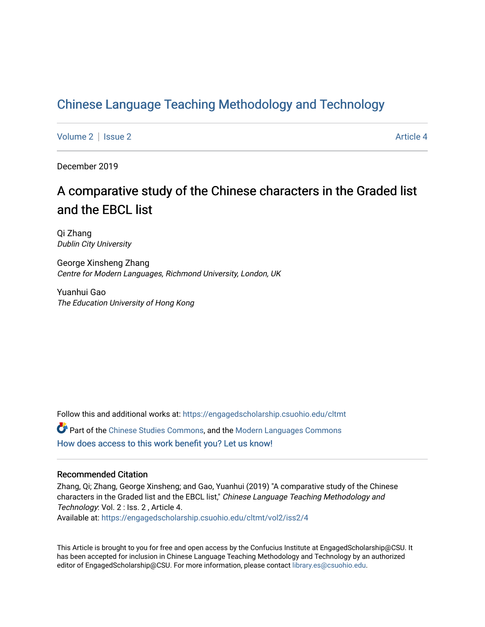# [Chinese Language Teaching Methodology and Technology](https://engagedscholarship.csuohio.edu/cltmt)

[Volume 2](https://engagedscholarship.csuohio.edu/cltmt/vol2) | [Issue 2](https://engagedscholarship.csuohio.edu/cltmt/vol2/iss2) Article 4

December 2019

# A comparative study of the Chinese characters in the Graded list and the EBCL list

Qi Zhang Dublin City University

George Xinsheng Zhang Centre for Modern Languages, Richmond University, London, UK

Yuanhui Gao The Education University of Hong Kong

Follow this and additional works at: [https://engagedscholarship.csuohio.edu/cltmt](https://engagedscholarship.csuohio.edu/cltmt?utm_source=engagedscholarship.csuohio.edu%2Fcltmt%2Fvol2%2Fiss2%2F4&utm_medium=PDF&utm_campaign=PDFCoverPages)

Part of the [Chinese Studies Commons](http://network.bepress.com/hgg/discipline/1081?utm_source=engagedscholarship.csuohio.edu%2Fcltmt%2Fvol2%2Fiss2%2F4&utm_medium=PDF&utm_campaign=PDFCoverPages), and the [Modern Languages Commons](http://network.bepress.com/hgg/discipline/1130?utm_source=engagedscholarship.csuohio.edu%2Fcltmt%2Fvol2%2Fiss2%2F4&utm_medium=PDF&utm_campaign=PDFCoverPages)  [How does access to this work benefit you? Let us know!](http://library.csuohio.edu/engaged/)

#### Recommended Citation

Zhang, Qi; Zhang, George Xinsheng; and Gao, Yuanhui (2019) "A comparative study of the Chinese characters in the Graded list and the EBCL list," Chinese Language Teaching Methodology and Technology: Vol. 2 : Iss. 2 , Article 4. Available at: [https://engagedscholarship.csuohio.edu/cltmt/vol2/iss2/4](https://engagedscholarship.csuohio.edu/cltmt/vol2/iss2/4?utm_source=engagedscholarship.csuohio.edu%2Fcltmt%2Fvol2%2Fiss2%2F4&utm_medium=PDF&utm_campaign=PDFCoverPages)

This Article is brought to you for free and open access by the Confucius Institute at EngagedScholarship@CSU. It has been accepted for inclusion in Chinese Language Teaching Methodology and Technology by an authorized editor of EngagedScholarship@CSU. For more information, please contact [library.es@csuohio.edu](mailto:library.es@csuohio.edu).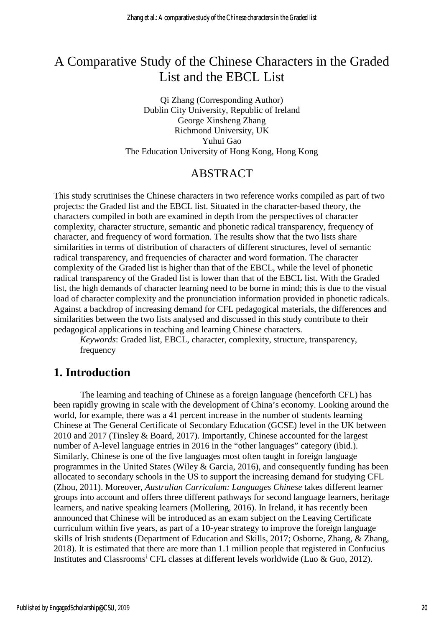# A Comparative Study of the Chinese Characters in the Graded List and the EBCL List

Qi Zhang (Corresponding Author) Dublin City University, Republic of Ireland George Xinsheng Zhang Richmond University, UK Yuhui Gao The Education University of Hong Kong, Hong Kong

## ABSTRACT

This study scrutinises the Chinese characters in two reference works compiled as part of two projects: the Graded list and the EBCL list. Situated in the character-based theory, the characters compiled in both are examined in depth from the perspectives of character complexity, character structure, semantic and phonetic radical transparency, frequency of character, and frequency of word formation. The results show that the two lists share similarities in terms of distribution of characters of different structures, level of semantic radical transparency, and frequencies of character and word formation. The character complexity of the Graded list is higher than that of the EBCL, while the level of phonetic radical transparency of the Graded list is lower than that of the EBCL list. With the Graded list, the high demands of character learning need to be borne in mind; this is due to the visual load of character complexity and the pronunciation information provided in phonetic radicals. Against a backdrop of increasing demand for CFL pedagogical materials, the differences and similarities between the two lists analysed and discussed in this study contribute to their pedagogical applications in teaching and learning Chinese characters.

*Keywords*: Graded list, EBCL, character, complexity, structure, transparency, frequency

## **1. Introduction**

The learning and teaching of Chinese as a foreign language (henceforth CFL) has been rapidly growing in scale with the development of China's economy. Looking around the world, for example, there was a 41 percent increase in the number of students learning Chinese at The General Certificate of Secondary Education (GCSE) level in the UK between 2010 and 2017 (Tinsley & Board, 2017). Importantly, Chinese accounted for the largest number of A-level language entries in 2016 in the "other languages" category (ibid.). Similarly, Chinese is one of the five languages most often taught in foreign language programmes in the United States (Wiley & Garcia, 2016), and consequently funding has been allocated to secondary schools in the US to support the increasing demand for studying CFL (Zhou, 2011). Moreover, *Australian Curriculum: Languages Chinese* takes different learner groups into account and offers three different pathways for second language learners, heritage learners, and native speaking learners (Mollering, 2016). In Ireland, it has recently been announced that Chinese will be introduced as an exam subject on the Leaving Certificate curriculum within five years, as part of a 10-year strategy to improve the foreign language skills of Irish students (Department of Education and Skills, 2017; Osborne, Zhang, & Zhang, 2018). It is estimated that there are more than 1.1 million people that registered in Confucius Inst[i](#page-20-0)tutes and Classrooms<sup>i</sup> CFL classes at different levels worldwide (Luo & Guo, 2012).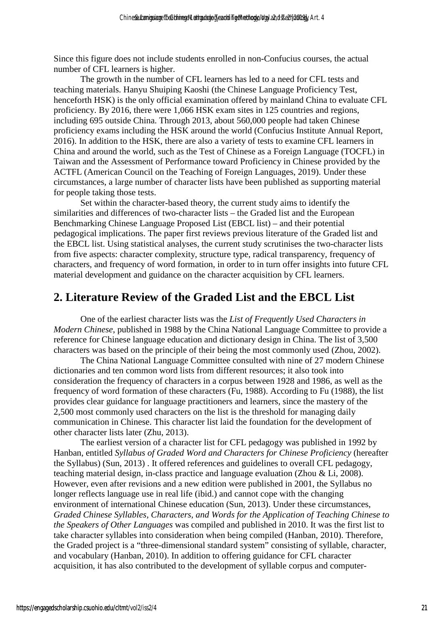Since this figure does not include students enrolled in non-Confucius courses, the actual number of CFL learners is higher.

The growth in the number of CFL learners has led to a need for CFL tests and teaching materials. Hanyu Shuiping Kaoshi (the Chinese Language Proficiency Test, henceforth HSK) is the only official examination offered by mainland China to evaluate CFL proficiency. By 2016, there were 1,066 HSK exam sites in 125 countries and regions, including 695 outside China. Through 2013, about 560,000 people had taken Chinese proficiency exams including the HSK around the world (Confucius Institute Annual Report, 2016). In addition to the HSK, there are also a variety of tests to examine CFL learners in China and around the world, such as the Test of Chinese as a Foreign Language (TOCFL) in Taiwan and the Assessment of Performance toward Proficiency in Chinese provided by the ACTFL (American Council on the Teaching of Foreign Languages, 2019). Under these circumstances, a large number of character lists have been published as supporting material for people taking those tests.

Set within the character-based theory, the current study aims to identify the similarities and differences of two-character lists – the Graded list and the European Benchmarking Chinese Language Proposed List (EBCL list) – and their potential pedagogical implications. The paper first reviews previous literature of the Graded list and the EBCL list. Using statistical analyses, the current study scrutinises the two-character lists from five aspects: character complexity, structure type, radical transparency, frequency of characters, and frequency of word formation, in order to in turn offer insights into future CFL material development and guidance on the character acquisition by CFL learners.

## **2. Literature Review of the Graded List and the EBCL List**

One of the earliest character lists was the *List of Frequently Used Characters in Modern Chinese*, published in 1988 by the China National Language Committee to provide a reference for Chinese language education and dictionary design in China. The list of 3,500 characters was based on the principle of their being the most commonly used (Zhou, 2002).

The China National Language Committee consulted with nine of 27 modern Chinese dictionaries and ten common word lists from different resources; it also took into consideration the frequency of characters in a corpus between 1928 and 1986, as well as the frequency of word formation of these characters (Fu, 1988). According to Fu (1988), the list provides clear guidance for language practitioners and learners, since the mastery of the 2,500 most commonly used characters on the list is the threshold for managing daily communication in Chinese. This character list laid the foundation for the development of other character lists later (Zhu, 2013).

The earliest version of a character list for CFL pedagogy was published in 1992 by Hanban, entitled *Syllabus of Graded Word and Characters for Chinese Proficiency* (hereafter the Syllabus) (Sun, 2013) . It offered references and guidelines to overall CFL pedagogy, teaching material design, in-class practice and language evaluation (Zhou & Li, 2008). However, even after revisions and a new edition were published in 2001, the Syllabus no longer reflects language use in real life (ibid.) and cannot cope with the changing environment of international Chinese education (Sun, 2013). Under these circumstances, *Graded Chinese Syllables, Characters, and Words for the Application of Teaching Chinese to the Speakers of Other Languages* was compiled and published in 2010. It was the first list to take character syllables into consideration when being compiled (Hanban, 2010). Therefore, the Graded project is a "three-dimensional standard system" consisting of syllable, character, and vocabulary (Hanban, 2010). In addition to offering guidance for CFL character acquisition, it has also contributed to the development of syllable corpus and computer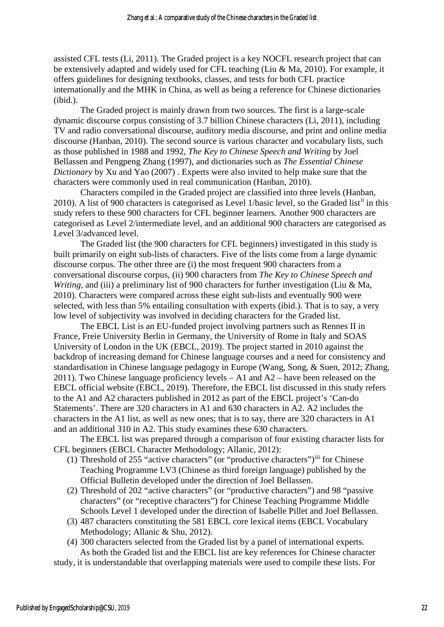assisted CFL tests (Li, 2011). The Graded project is a key NOCFL research project that can be extensively adapted and widely used for CFL teaching (Liu & Ma, 2010). For example, it offers guidelines for designing textbooks, classes, and tests for both CFL practice internationally and the MHK in China, as well as being a reference for Chinese dictionaries (ibid.).

The Graded project is mainly drawn from two sources. The first is a large-scale dynamic discourse corpus consisting of 3.7 billion Chinese characters (Li, 2011), including TV and radio conversational discourse, auditory media discourse, and print and online media discourse (Hanban, 2010). The second source is various character and vocabulary lists, such as those published in 1988 and 1992, *The Key to Chinese Speech and Writing* by Joel Bellassen and Pengpeng Zhang (1997), and dictionaries such as *The Essential Chinese Dictionary* by Xu and Yao (2007) . Experts were also invited to help make sure that the characters were commonly used in real communication (Hanban, 2010).

Characters compiled in the Graded project are classified into three levels (Hanban, 2010). A list of 900 characters is categorised as Level 1/basic level, so the Graded list<sup>[ii](#page-20-1)</sup> in this study refers to these 900 characters for CFL beginner learners. Another 900 characters are categorised as Level 2/intermediate level, and an additional 900 characters are categorised as Level 3/advanced level.

The Graded list (the 900 characters for CFL beginners) investigated in this study is built primarily on eight sub-lists of characters. Five of the lists come from a large dynamic discourse corpus. The other three are (i) the most frequent 900 characters from a conversational discourse corpus, (ii) 900 characters from *The Key to Chinese Speech and Writing*, and (iii) a preliminary list of 900 characters for further investigation (Liu & Ma, 2010). Characters were compared across these eight sub-lists and eventually 900 were selected, with less than 5% entailing consultation with experts (ibid.). That is to say, a very low level of subjectivity was involved in deciding characters for the Graded list.

The EBCL List is an EU-funded project involving partners such as Rennes II in France, Freie University Berlin in Germany, the University of Rome in Italy and SOAS University of London in the UK (EBCL, 2019). The project started in 2010 against the backdrop of increasing demand for Chinese language courses and a need for consistency and standardisation in Chinese language pedagogy in Europe (Wang, Song, & Suen, 2012; Zhang, 2011). Two Chinese language proficiency levels – A1 and A2 – have been released on the EBCL official website (EBCL, 2019). Therefore, the EBCL list discussed in this study refers to the A1 and A2 characters published in 2012 as part of the EBCL project's 'Can-do Statements'. There are 320 characters in A1 and 630 characters in A2. A2 includes the characters in the A1 list, as well as new ones; that is to say, there are 320 characters in A1 and an additional 310 in A2. This study examines these 630 characters.

The EBCL list was prepared through a comparison of four existing character lists for CFL beginners (EBCL Character Methodology; Allanic, 2012):

- (1) Threshold of 255 "active characters" (or "productive characters")[iii](#page-20-2) for Chinese Teaching Programme LV3 (Chinese as third foreign language) published by the Official Bulletin developed under the direction of Joel Bellassen.
- (2) Threshold of 202 "active characters" (or "productive characters") and 98 "passive characters" (or "receptive characters") for Chinese Teaching Programme Middle Schools Level 1 developed under the direction of Isabelle Pillet and Joel Bellassen.
- (3) 487 characters constituting the 581 EBCL core lexical items (EBCL Vocabulary Methodology; Allanic & Shu, 2012).
- (4) 300 characters selected from the Graded list by a panel of international experts. As both the Graded list and the EBCL list are key references for Chinese character

study, it is understandable that overlapping materials were used to compile these lists. For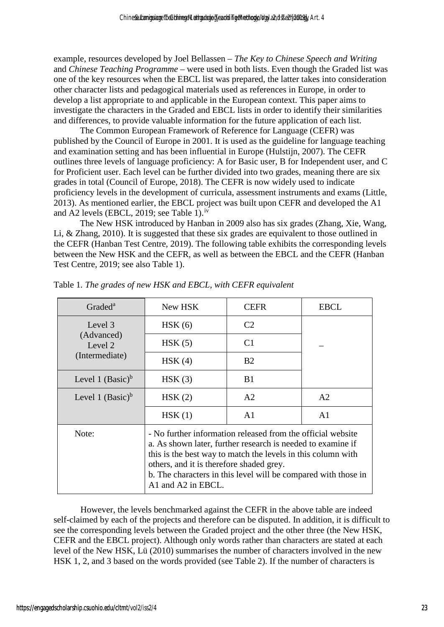example, resources developed by Joel Bellassen – *The Key to Chinese Speech and Writing* and *Chinese Teaching Programme* – were used in both lists. Even though the Graded list was one of the key resources when the EBCL list was prepared, the latter takes into consideration other character lists and pedagogical materials used as references in Europe, in order to develop a list appropriate to and applicable in the European context. This paper aims to investigate the characters in the Graded and EBCL lists in order to identify their similarities and differences, to provide valuable information for the future application of each list.

The Common European Framework of Reference for Language (CEFR) was published by the Council of Europe in 2001. It is used as the guideline for language teaching and examination setting and has been influential in Europe (Hulstijn, 2007). The CEFR outlines three levels of language proficiency: A for Basic user, B for Independent user, and C for Proficient user. Each level can be further divided into two grades, meaning there are six grades in total (Council of Europe, 2018). The CEFR is now widely used to indicate proficiency levels in the development of curricula, assessment instruments and exams (Little, 2013). As mentioned earlier, the EBCL project was built upon CEFR and developed the A1 and A2 levels (EBCL, 2019; see Table 1).<sup>[iv](#page-20-3)</sup>

The New HSK introduced by Hanban in 2009 also has six grades (Zhang, Xie, Wang, Li, & Zhang, 2010). It is suggested that these six grades are equivalent to those outlined in the CEFR (Hanban Test Centre, 2019). The following table exhibits the corresponding levels between the New HSK and the CEFR, as well as between the EBCL and the CEFR (Hanban Test Centre, 2019; see also Table 1).

| Graded <sup>a</sup>   | New HSK                                                                                                                                                                                                                                                                                                                        | <b>CEFR</b>    | <b>EBCL</b>    |  |  |
|-----------------------|--------------------------------------------------------------------------------------------------------------------------------------------------------------------------------------------------------------------------------------------------------------------------------------------------------------------------------|----------------|----------------|--|--|
| Level 3               | HSK(6)                                                                                                                                                                                                                                                                                                                         | C <sub>2</sub> |                |  |  |
| (Advanced)<br>Level 2 | HSK(5)                                                                                                                                                                                                                                                                                                                         | C <sub>1</sub> |                |  |  |
| (Intermediate)        | HSK(4)                                                                                                                                                                                                                                                                                                                         | B <sub>2</sub> |                |  |  |
| Level 1 $(Basic)^b$   | HSK(3)                                                                                                                                                                                                                                                                                                                         | B1             |                |  |  |
| Level 1 $(Basic)^b$   | HSK(2)                                                                                                                                                                                                                                                                                                                         |                | A2             |  |  |
|                       | HSK(1)                                                                                                                                                                                                                                                                                                                         | A <sub>1</sub> | A <sub>1</sub> |  |  |
| Note:                 | - No further information released from the official website<br>a. As shown later, further research is needed to examine if<br>this is the best way to match the levels in this column with<br>others, and it is therefore shaded grey.<br>b. The characters in this level will be compared with those in<br>A1 and A2 in EBCL. |                |                |  |  |

Table 1*. The grades of new HSK and EBCL, with CEFR equivalent* 

However, the levels benchmarked against the CEFR in the above table are indeed self-claimed by each of the projects and therefore can be disputed. In addition, it is difficult to see the corresponding levels between the Graded project and the other three (the New HSK, CEFR and the EBCL project). Although only words rather than characters are stated at each level of the New HSK, Lü (2010) summarises the number of characters involved in the new HSK 1, 2, and 3 based on the words provided (see Table 2). If the number of characters is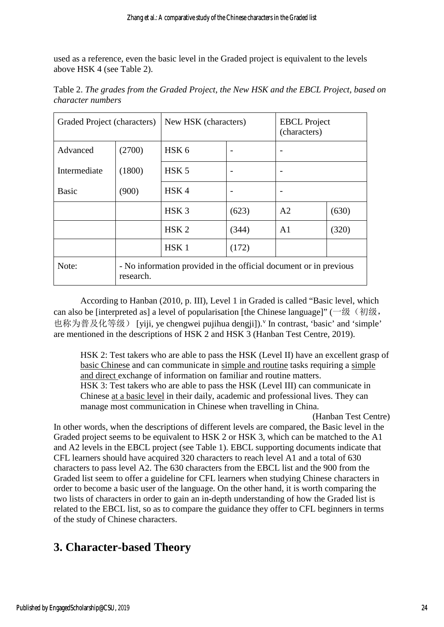used as a reference, even the basic level in the Graded project is equivalent to the levels above HSK 4 (see Table 2).

| Graded Project (characters) |           | New HSK (characters)                                              |                          | <b>EBCL</b> Project<br>(characters) |       |  |
|-----------------------------|-----------|-------------------------------------------------------------------|--------------------------|-------------------------------------|-------|--|
| Advanced                    | (2700)    | HSK <sub>6</sub>                                                  |                          |                                     |       |  |
| Intermediate                | (1800)    | HSK <sub>5</sub>                                                  | $\overline{\phantom{0}}$ |                                     |       |  |
| <b>Basic</b>                | (900)     | HSK4                                                              | -                        |                                     |       |  |
|                             |           | HSK <sub>3</sub>                                                  | (623)                    | A <sub>2</sub>                      | (630) |  |
|                             |           | HSK <sub>2</sub>                                                  | (344)                    | A1                                  | (320) |  |
|                             |           | HSK <sub>1</sub>                                                  | (172)                    |                                     |       |  |
| Note:                       | research. | - No information provided in the official document or in previous |                          |                                     |       |  |

Table 2. *The grades from the Graded Project, the New HSK and the EBCL Project, based on character numbers* 

According to Hanban (2010, p. III), Level 1 in Graded is called "Basic level, which can also be [interpreted as] a level of popularisation [the Chinese language]" (一级(初级, 也称为普及化等级) [yiji, ye chengwei pujihua dengji]).<sup>[v](#page-20-4)</sup> In contrast, 'basic' and 'simple' are mentioned in the descriptions of HSK 2 and HSK 3 (Hanban Test Centre, 2019).

HSK 2: Test takers who are able to pass the HSK (Level II) have an excellent grasp of basic Chinese and can communicate in simple and routine tasks requiring a simple and direct exchange of information on familiar and routine matters. HSK 3: Test takers who are able to pass the HSK (Level III) can communicate in Chinese at a basic level in their daily, academic and professional lives. They can manage most communication in Chinese when travelling in China.

(Hanban Test Centre) In other words, when the descriptions of different levels are compared, the Basic level in the Graded project seems to be equivalent to HSK 2 or HSK 3, which can be matched to the A1 and A2 levels in the EBCL project (see Table 1). EBCL supporting documents indicate that CFL learners should have acquired 320 characters to reach level A1 and a total of 630 characters to pass level A2. The 630 characters from the EBCL list and the 900 from the Graded list seem to offer a guideline for CFL learners when studying Chinese characters in order to become a basic user of the language. On the other hand, it is worth comparing the two lists of characters in order to gain an in-depth understanding of how the Graded list is related to the EBCL list, so as to compare the guidance they offer to CFL beginners in terms of the study of Chinese characters.

# **3. Character-based Theory**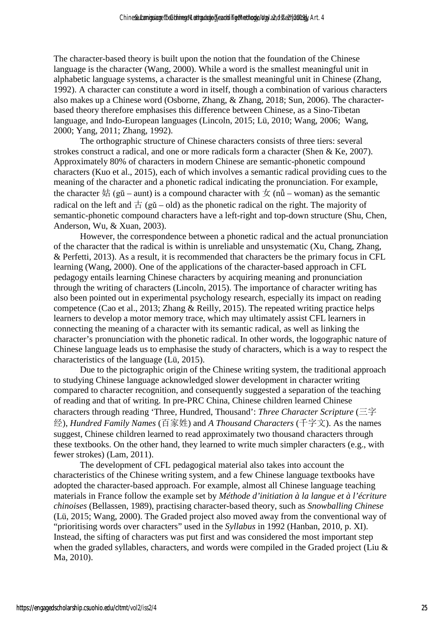The character-based theory is built upon the notion that the foundation of the Chinese language is the character (Wang, 2000). While a word is the smallest meaningful unit in alphabetic language systems, a character is the smallest meaningful unit in Chinese (Zhang, 1992). A character can constitute a word in itself, though a combination of various characters also makes up a Chinese word (Osborne, Zhang, & Zhang, 2018; Sun, 2006). The characterbased theory therefore emphasises this difference between Chinese, as a Sino-Tibetan language, and Indo-European languages (Lincoln, 2015; Lü, 2010; Wang, 2006; Wang, 2000; Yang, 2011; Zhang, 1992).

The orthographic structure of Chinese characters consists of three tiers: several strokes construct a radical, and one or more radicals form a character (Shen & Ke, 2007). Approximately 80% of characters in modern Chinese are semantic-phonetic compound characters (Kuo et al., 2015), each of which involves a semantic radical providing cues to the meaning of the character and a phonetic radical indicating the pronunciation. For example, the character  $\frac{1}{x}$  (gū – aunt) is a compound character with  $\frac{1}{x}$  (nu) – woman) as the semantic radical on the left and  $\pm$  (gǔ – old) as the phonetic radical on the right. The majority of semantic-phonetic compound characters have a left-right and top-down structure (Shu, Chen, Anderson, Wu, & Xuan, 2003).

However, the correspondence between a phonetic radical and the actual pronunciation of the character that the radical is within is unreliable and unsystematic (Xu, Chang, Zhang, & Perfetti, 2013). As a result, it is recommended that characters be the primary focus in CFL learning (Wang, 2000). One of the applications of the character-based approach in CFL pedagogy entails learning Chinese characters by acquiring meaning and pronunciation through the writing of characters (Lincoln, 2015). The importance of character writing has also been pointed out in experimental psychology research, especially its impact on reading competence (Cao et al., 2013; Zhang & Reilly, 2015). The repeated writing practice helps learners to develop a motor memory trace, which may ultimately assist CFL learners in connecting the meaning of a character with its semantic radical, as well as linking the character's pronunciation with the phonetic radical. In other words, the logographic nature of Chinese language leads us to emphasise the study of characters, which is a way to respect the characteristics of the language (Lü, 2015).

Due to the pictographic origin of the Chinese writing system, the traditional approach to studying Chinese language acknowledged slower development in character writing compared to character recognition, and consequently suggested a separation of the teaching of reading and that of writing. In pre-PRC China, Chinese children learned Chinese characters through reading 'Three, Hundred, Thousand': *Three Character Scripture* (三字 经), *Hundred Family Names* (百家姓) and *A Thousand Characters* (千字文). As the names suggest, Chinese children learned to read approximately two thousand characters through these textbooks. On the other hand, they learned to write much simpler characters (e.g., with fewer strokes) (Lam, 2011).

The development of CFL pedagogical material also takes into account the characteristics of the Chinese writing system, and a few Chinese language textbooks have adopted the character-based approach. For example, almost all Chinese language teaching materials in France follow the example set by *Méthode d'initiation à la langue et à l'écriture chinoises* (Bellassen, 1989), practising character-based theory, such as *Snowballing Chinese* (Lü, 2015; Wang, 2000). The Graded project also moved away from the conventional way of "prioritising words over characters" used in the *Syllabus* in 1992 (Hanban, 2010, p. XI). Instead, the sifting of characters was put first and was considered the most important step when the graded syllables, characters, and words were compiled in the Graded project (Liu & Ma, 2010).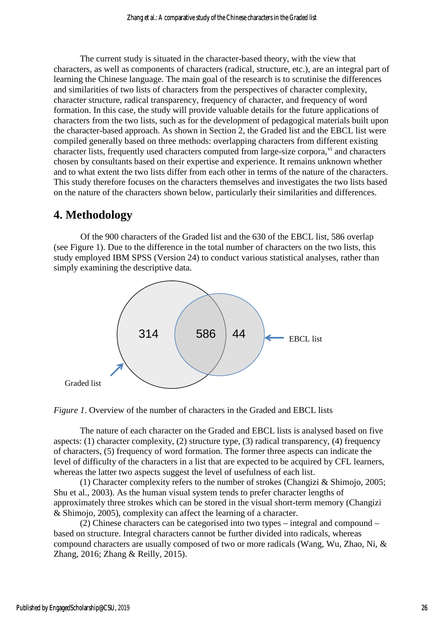The current study is situated in the character-based theory, with the view that characters, as well as components of characters (radical, structure, etc.), are an integral part of learning the Chinese language. The main goal of the research is to scrutinise the differences and similarities of two lists of characters from the perspectives of character complexity, character structure, radical transparency, frequency of character, and frequency of word formation. In this case, the study will provide valuable details for the future applications of characters from the two lists, such as for the development of pedagogical materials built upon the character-based approach. As shown in Section 2, the Graded list and the EBCL list were compiled generally based on three methods: overlapping characters from different existing character lists, frequently used characters computed from large-size corpora,  $\overline{v}$  and characters chosen by consultants based on their expertise and experience. It remains unknown whether and to what extent the two lists differ from each other in terms of the nature of the characters. This study therefore focuses on the characters themselves and investigates the two lists based on the nature of the characters shown below, particularly their similarities and differences.

## **4. Methodology**

Of the 900 characters of the Graded list and the 630 of the EBCL list, 586 overlap (see Figure 1). Due to the difference in the total number of characters on the two lists, this study employed IBM SPSS (Version 24) to conduct various statistical analyses, rather than simply examining the descriptive data.





The nature of each character on the Graded and EBCL lists is analysed based on five aspects: (1) character complexity, (2) structure type, (3) radical transparency, (4) frequency of characters, (5) frequency of word formation. The former three aspects can indicate the level of difficulty of the characters in a list that are expected to be acquired by CFL learners, whereas the latter two aspects suggest the level of usefulness of each list.

(1) Character complexity refers to the number of strokes (Changizi & Shimojo, 2005; Shu et al., 2003). As the human visual system tends to prefer character lengths of approximately three strokes which can be stored in the visual short-term memory (Changizi & Shimojo, 2005), complexity can affect the learning of a character.

(2) Chinese characters can be categorised into two types – integral and compound – based on structure. Integral characters cannot be further divided into radicals, whereas compound characters are usually composed of two or more radicals (Wang, Wu, Zhao, Ni, & Zhang, 2016; Zhang & Reilly, 2015).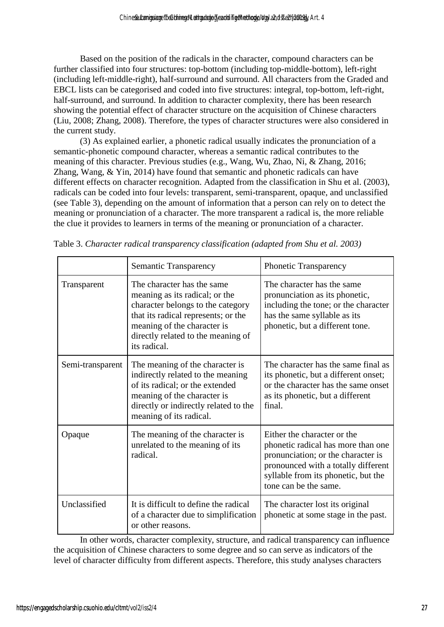Based on the position of the radicals in the character, compound characters can be further classified into four structures: top-bottom (including top-middle-bottom), left-right (including left-middle-right), half-surround and surround. All characters from the Graded and EBCL lists can be categorised and coded into five structures: integral, top-bottom, left-right, half-surround, and surround. In addition to character complexity, there has been research showing the potential effect of character structure on the acquisition of Chinese characters (Liu, 2008; Zhang, 2008). Therefore, the types of character structures were also considered in the current study.

(3) As explained earlier, a phonetic radical usually indicates the pronunciation of a semantic-phonetic compound character, whereas a semantic radical contributes to the meaning of this character. Previous studies (e.g., Wang, Wu, Zhao, Ni, & Zhang, 2016; Zhang, Wang, & Yin, 2014) have found that semantic and phonetic radicals can have different effects on character recognition. Adapted from the classification in Shu et al. (2003), radicals can be coded into four levels: transparent, semi-transparent, opaque, and unclassified (see Table 3), depending on the amount of information that a person can rely on to detect the meaning or pronunciation of a character. The more transparent a radical is, the more reliable the clue it provides to learners in terms of the meaning or pronunciation of a character.

|                  | Semantic Transparency                                                                                                                                                                                                         | <b>Phonetic Transparency</b>                                                                                                                                                                                   |
|------------------|-------------------------------------------------------------------------------------------------------------------------------------------------------------------------------------------------------------------------------|----------------------------------------------------------------------------------------------------------------------------------------------------------------------------------------------------------------|
| Transparent      | The character has the same<br>meaning as its radical; or the<br>character belongs to the category<br>that its radical represents; or the<br>meaning of the character is<br>directly related to the meaning of<br>its radical. | The character has the same<br>pronunciation as its phonetic,<br>including the tone; or the character<br>has the same syllable as its<br>phonetic, but a different tone.                                        |
| Semi-transparent | The meaning of the character is<br>indirectly related to the meaning<br>of its radical; or the extended<br>meaning of the character is<br>directly or indirectly related to the<br>meaning of its radical.                    | The character has the same final as<br>its phonetic, but a different onset;<br>or the character has the same onset<br>as its phonetic, but a different<br>final.                                               |
| Opaque           | The meaning of the character is<br>unrelated to the meaning of its<br>radical.                                                                                                                                                | Either the character or the<br>phonetic radical has more than one<br>pronunciation; or the character is<br>pronounced with a totally different<br>syllable from its phonetic, but the<br>tone can be the same. |
| Unclassified     | It is difficult to define the radical<br>of a character due to simplification<br>or other reasons.                                                                                                                            | The character lost its original<br>phonetic at some stage in the past.                                                                                                                                         |

|  |  | Table 3. Character radical transparency classification (adapted from Shu et al. 2003) |  |
|--|--|---------------------------------------------------------------------------------------|--|
|  |  |                                                                                       |  |

In other words, character complexity, structure, and radical transparency can influence the acquisition of Chinese characters to some degree and so can serve as indicators of the level of character difficulty from different aspects. Therefore, this study analyses characters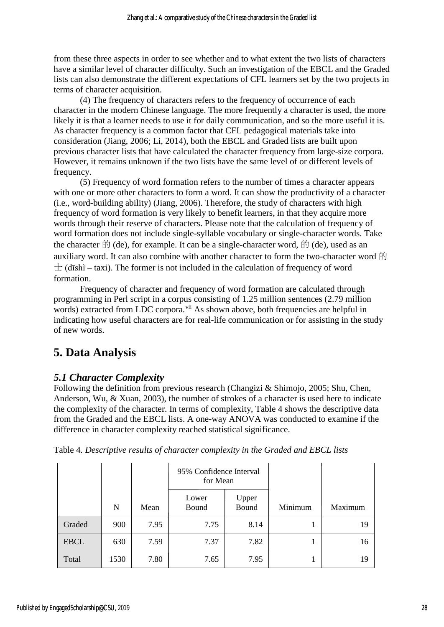from these three aspects in order to see whether and to what extent the two lists of characters have a similar level of character difficulty. Such an investigation of the EBCL and the Graded lists can also demonstrate the different expectations of CFL learners set by the two projects in terms of character acquisition.

(4) The frequency of characters refers to the frequency of occurrence of each character in the modern Chinese language. The more frequently a character is used, the more likely it is that a learner needs to use it for daily communication, and so the more useful it is. As character frequency is a common factor that CFL pedagogical materials take into consideration (Jiang, 2006; Li, 2014), both the EBCL and Graded lists are built upon previous character lists that have calculated the character frequency from large-size corpora. However, it remains unknown if the two lists have the same level of or different levels of frequency.

(5) Frequency of word formation refers to the number of times a character appears with one or more other characters to form a word. It can show the productivity of a character (i.e., word-building ability) (Jiang, 2006). Therefore, the study of characters with high frequency of word formation is very likely to benefit learners, in that they acquire more words through their reserve of characters. Please note that the calculation of frequency of word formation does not include single-syllable vocabulary or single-character words. Take the character  $\hat{E}$  (de), for example. It can be a single-character word,  $\hat{E}$  (de), used as an auxiliary word. It can also combine with another character to form the two-character word  $\hat{E}$  $\pm$  (dīshì – taxi). The former is not included in the calculation of frequency of word formation.

Frequency of character and frequency of word formation are calculated through programming in Perl script in a corpus consisting of 1.25 million sentences (2.79 million words) extracted from LDC corpora.<sup>[vii](#page-20-6)</sup> As shown above, both frequencies are helpful in indicating how useful characters are for real-life communication or for assisting in the study of new words.

# **5. Data Analysis**

## *5.1 Character Complexity*

Following the definition from previous research (Changizi & Shimojo, 2005; Shu, Chen, Anderson, Wu, & Xuan, 2003), the number of strokes of a character is used here to indicate the complexity of the character. In terms of complexity, Table 4 shows the descriptive data from the Graded and the EBCL lists. A one-way ANOVA was conducted to examine if the difference in character complexity reached statistical significance.

|             |      |      | 95% Confidence Interval<br>for Mean |                |         |         |
|-------------|------|------|-------------------------------------|----------------|---------|---------|
|             | N    | Mean | Lower<br>Bound                      | Upper<br>Bound | Minimum | Maximum |
| Graded      | 900  | 7.95 | 7.75                                | 8.14           | 1       | 19      |
| <b>EBCL</b> | 630  | 7.59 | 7.37                                | 7.82           | 1       | 16      |
| Total       | 1530 | 7.80 | 7.65                                | 7.95           |         | 19      |

|  | Table 4. Descriptive results of character complexity in the Graded and EBCL lists |  |  |
|--|-----------------------------------------------------------------------------------|--|--|
|  |                                                                                   |  |  |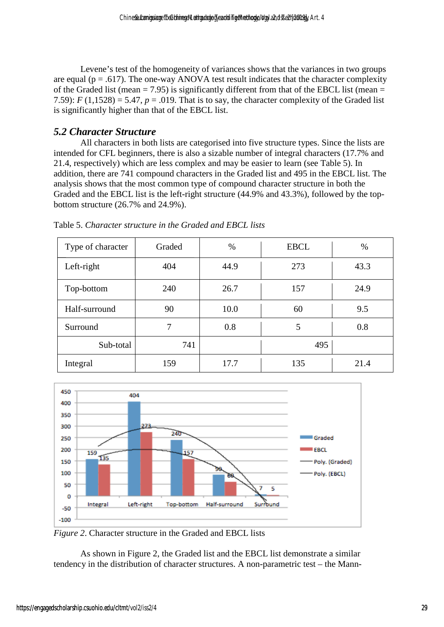Levene's test of the homogeneity of variances shows that the variances in two groups are equal ( $p = .617$ ). The one-way ANOVA test result indicates that the character complexity of the Graded list (mean  $= 7.95$ ) is significantly different from that of the EBCL list (mean  $=$ 7.59):  $F(1,1528) = 5.47$ ,  $p = .019$ . That is to say, the character complexity of the Graded list is significantly higher than that of the EBCL list.

### *5.2 Character Structure*

All characters in both lists are categorised into five structure types. Since the lists are intended for CFL beginners, there is also a sizable number of integral characters (17.7% and 21.4, respectively) which are less complex and may be easier to learn (see Table 5). In addition, there are 741 compound characters in the Graded list and 495 in the EBCL list. The analysis shows that the most common type of compound character structure in both the Graded and the EBCL list is the left-right structure (44.9% and 43.3%), followed by the topbottom structure (26.7% and 24.9%).

| Type of character | Graded | $\%$ | <b>EBCL</b> | $\%$ |
|-------------------|--------|------|-------------|------|
| Left-right        | 404    | 44.9 | 273         | 43.3 |
| Top-bottom        | 240    |      | 157         | 24.9 |
| Half-surround     | 90     |      | 60          | 9.5  |
| Surround          | 7      | 0.8  | 5           | 0.8  |
| Sub-total         | 741    |      | 495         |      |
| Integral          | 159    | 17.7 | 135         | 21.4 |

Table 5. *Character structure in the Graded and EBCL lists* 



*Figure 2*. Character structure in the Graded and EBCL lists

As shown in Figure 2, the Graded list and the EBCL list demonstrate a similar tendency in the distribution of character structures. A non-parametric test – the Mann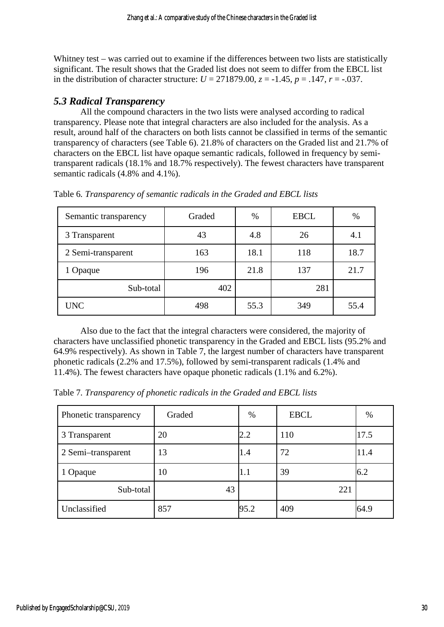Whitney test – was carried out to examine if the differences between two lists are statistically significant. The result shows that the Graded list does not seem to differ from the EBCL list in the distribution of character structure:  $U = 271879.00$ ,  $z = -1.45$ ,  $p = 0.147$ ,  $r = -0.037$ .

### *5.3 Radical Transparency*

All the compound characters in the two lists were analysed according to radical transparency. Please note that integral characters are also included for the analysis. As a result, around half of the characters on both lists cannot be classified in terms of the semantic transparency of characters (see Table 6). 21.8% of characters on the Graded list and 21.7% of characters on the EBCL list have opaque semantic radicals, followed in frequency by semitransparent radicals (18.1% and 18.7% respectively). The fewest characters have transparent semantic radicals (4.8% and 4.1%).

| Semantic transparency | Graded | $\%$ | <b>EBCL</b> | $\%$ |
|-----------------------|--------|------|-------------|------|
| 3 Transparent         | 43     | 4.8  | 26          | 4.1  |
| 2 Semi-transparent    | 163    | 18.1 | 118         | 18.7 |
| 1 Opaque              | 196    | 21.8 | 137         | 21.7 |
| Sub-total             | 402    |      | 281         |      |
| <b>UNC</b>            | 498    | 55.3 | 349         | 55.4 |

Table 6*. Transparency of semantic radicals in the Graded and EBCL lists* 

Also due to the fact that the integral characters were considered, the majority of characters have unclassified phonetic transparency in the Graded and EBCL lists (95.2% and 64.9% respectively). As shown in Table 7, the largest number of characters have transparent phonetic radicals (2.2% and 17.5%), followed by semi-transparent radicals (1.4% and 11.4%). The fewest characters have opaque phonetic radicals (1.1% and 6.2%).

Table 7*. Transparency of phonetic radicals in the Graded and EBCL lists* 

| Phonetic transparency | Graded | %       | <b>EBCL</b> | $\%$ |
|-----------------------|--------|---------|-------------|------|
| 3 Transparent         | 20     | 2.2     | 110         | 17.5 |
| 2 Semi-transparent    | 13     | 1.4     | 72          | 11.4 |
| 1 Opaque              | 10     | $1.1\,$ | 39          | 6.2  |
| Sub-total             | 43     |         | 221         |      |
| Unclassified          | 857    | 95.2    | 409         | 64.9 |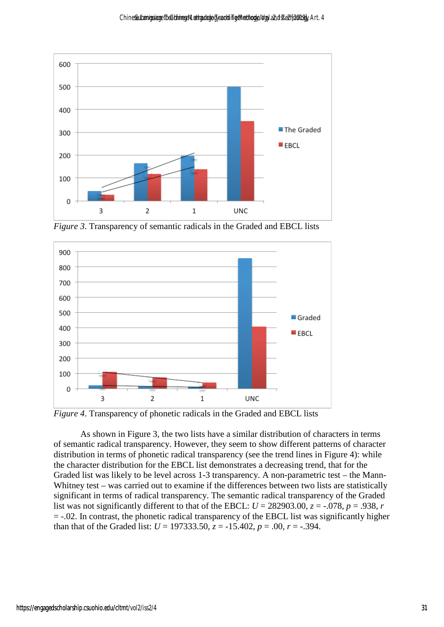

*Figure 3*. Transparency of semantic radicals in the Graded and EBCL lists



*Figure 4*. Transparency of phonetic radicals in the Graded and EBCL lists

As shown in Figure 3, the two lists have a similar distribution of characters in terms of semantic radical transparency. However, they seem to show different patterns of character distribution in terms of phonetic radical transparency (see the trend lines in Figure 4): while the character distribution for the EBCL list demonstrates a decreasing trend, that for the Graded list was likely to be level across 1-3 transparency. A non-parametric test – the Mann-Whitney test – was carried out to examine if the differences between two lists are statistically significant in terms of radical transparency. The semantic radical transparency of the Graded list was not significantly different to that of the EBCL:  $U = 282903.00$ ,  $z = -.078$ ,  $p = .938$ , *r* = -.02. In contrast, the phonetic radical transparency of the EBCL list was significantly higher than that of the Graded list:  $U = 197333.50$ ,  $z = -15.402$ ,  $p = .00$ ,  $r = -.394$ .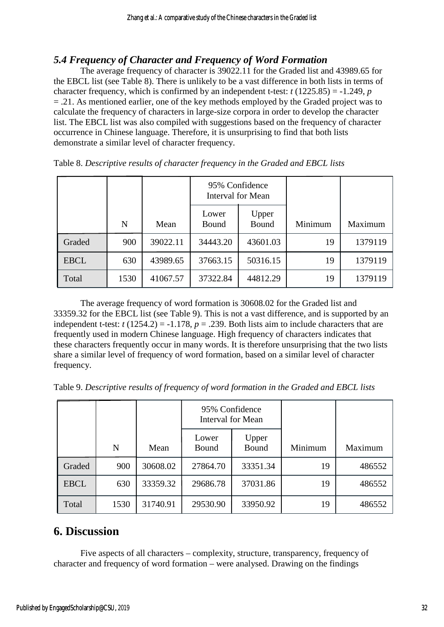### *5.4 Frequency of Character and Frequency of Word Formation*

The average frequency of character is 39022.11 for the Graded list and 43989.65 for the EBCL list (see Table 8). There is unlikely to be a vast difference in both lists in terms of character frequency, which is confirmed by an independent t-test:  $t (1225.85) = -1.249$ , *p* = .21. As mentioned earlier, one of the key methods employed by the Graded project was to calculate the frequency of characters in large-size corpora in order to develop the character list. The EBCL list was also compiled with suggestions based on the frequency of character occurrence in Chinese language. Therefore, it is unsurprising to find that both lists demonstrate a similar level of character frequency.

|             |      |          | 95% Confidence<br>Interval for Mean |                |         |         |
|-------------|------|----------|-------------------------------------|----------------|---------|---------|
|             | N    | Mean     | Lower<br>Bound                      | Upper<br>Bound | Minimum | Maximum |
| Graded      | 900  | 39022.11 | 34443.20                            | 43601.03       | 19      | 1379119 |
| <b>EBCL</b> | 630  | 43989.65 | 37663.15                            | 50316.15       | 19      | 1379119 |
| Total       | 1530 | 41067.57 | 37322.84                            | 44812.29       | 19      | 1379119 |

Table 8. *Descriptive results of character frequency in the Graded and EBCL lists* 

The average frequency of word formation is 30608.02 for the Graded list and 33359.32 for the EBCL list (see Table 9). This is not a vast difference, and is supported by an independent t-test:  $t(1254.2) = -1.178$ ,  $p = .239$ . Both lists aim to include characters that are frequently used in modern Chinese language. High frequency of characters indicates that these characters frequently occur in many words. It is therefore unsurprising that the two lists share a similar level of frequency of word formation, based on a similar level of character frequency.

| Table 9. Descriptive results of frequency of word formation in the Graded and EBCL lists |  |  |  |  |  |
|------------------------------------------------------------------------------------------|--|--|--|--|--|
|------------------------------------------------------------------------------------------|--|--|--|--|--|

|             |      |          | 95% Confidence<br><b>Interval for Mean</b> |                |         |         |
|-------------|------|----------|--------------------------------------------|----------------|---------|---------|
|             | N    | Mean     | Lower<br>Bound                             | Upper<br>Bound | Minimum | Maximum |
| Graded      | 900  | 30608.02 | 27864.70                                   | 33351.34       | 19      | 486552  |
| <b>EBCL</b> | 630  | 33359.32 | 29686.78                                   | 37031.86       | 19      | 486552  |
| Total       | 1530 | 31740.91 | 29530.90                                   | 33950.92       | 19      | 486552  |

## **6. Discussion**

Five aspects of all characters – complexity, structure, transparency, frequency of character and frequency of word formation – were analysed. Drawing on the findings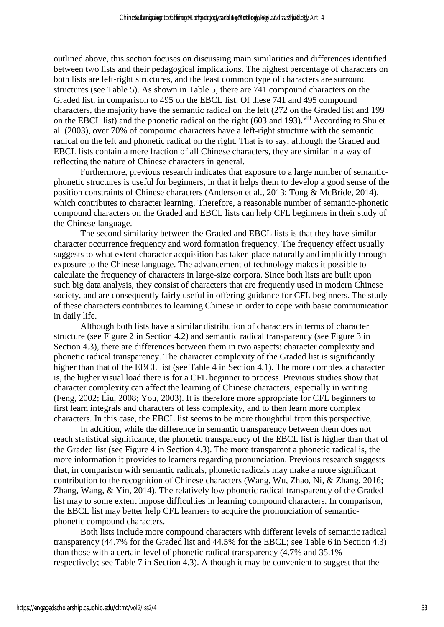outlined above, this section focuses on discussing main similarities and differences identified between two lists and their pedagogical implications. The highest percentage of characters on both lists are left-right structures, and the least common type of characters are surround structures (see Table 5). As shown in Table 5, there are 741 compound characters on the Graded list, in comparison to 495 on the EBCL list. Of these 741 and 495 compound characters, the majority have the semantic radical on the left (272 on the Graded list and 199 on the EBCL list) and the phonetic radical on the right (603 and 193).<sup>viii</sup> According to Shu et al. (2003), over 70% of compound characters have a left-right structure with the semantic radical on the left and phonetic radical on the right. That is to say, although the Graded and EBCL lists contain a mere fraction of all Chinese characters, they are similar in a way of reflecting the nature of Chinese characters in general.

Furthermore, previous research indicates that exposure to a large number of semanticphonetic structures is useful for beginners, in that it helps them to develop a good sense of the position constraints of Chinese characters (Anderson et al., 2013; Tong & McBride, 2014), which contributes to character learning. Therefore, a reasonable number of semantic-phonetic compound characters on the Graded and EBCL lists can help CFL beginners in their study of the Chinese language.

The second similarity between the Graded and EBCL lists is that they have similar character occurrence frequency and word formation frequency. The frequency effect usually suggests to what extent character acquisition has taken place naturally and implicitly through exposure to the Chinese language. The advancement of technology makes it possible to calculate the frequency of characters in large-size corpora. Since both lists are built upon such big data analysis, they consist of characters that are frequently used in modern Chinese society, and are consequently fairly useful in offering guidance for CFL beginners. The study of these characters contributes to learning Chinese in order to cope with basic communication in daily life.

Although both lists have a similar distribution of characters in terms of character structure (see Figure 2 in Section 4.2) and semantic radical transparency (see Figure 3 in Section 4.3), there are differences between them in two aspects: character complexity and phonetic radical transparency. The character complexity of the Graded list is significantly higher than that of the EBCL list (see Table 4 in Section 4.1). The more complex a character is, the higher visual load there is for a CFL beginner to process. Previous studies show that character complexity can affect the learning of Chinese characters, especially in writing (Feng, 2002; Liu, 2008; You, 2003). It is therefore more appropriate for CFL beginners to first learn integrals and characters of less complexity, and to then learn more complex characters. In this case, the EBCL list seems to be more thoughtful from this perspective.

In addition, while the difference in semantic transparency between them does not reach statistical significance, the phonetic transparency of the EBCL list is higher than that of the Graded list (see Figure 4 in Section 4.3). The more transparent a phonetic radical is, the more information it provides to learners regarding pronunciation. Previous research suggests that, in comparison with semantic radicals, phonetic radicals may make a more significant contribution to the recognition of Chinese characters (Wang, Wu, Zhao, Ni, & Zhang, 2016; Zhang, Wang, & Yin, 2014). The relatively low phonetic radical transparency of the Graded list may to some extent impose difficulties in learning compound characters. In comparison, the EBCL list may better help CFL learners to acquire the pronunciation of semanticphonetic compound characters.

Both lists include more compound characters with different levels of semantic radical transparency (44.7% for the Graded list and 44.5% for the EBCL; see Table 6 in Section 4.3) than those with a certain level of phonetic radical transparency (4.7% and 35.1% respectively; see Table 7 in Section 4.3). Although it may be convenient to suggest that the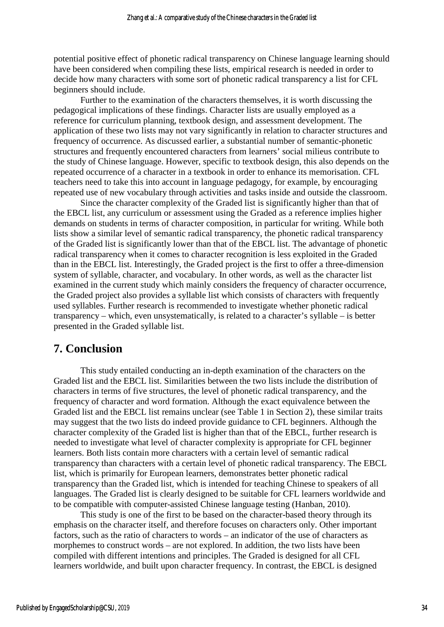potential positive effect of phonetic radical transparency on Chinese language learning should have been considered when compiling these lists, empirical research is needed in order to decide how many characters with some sort of phonetic radical transparency a list for CFL beginners should include.

 Further to the examination of the characters themselves, it is worth discussing the pedagogical implications of these findings. Character lists are usually employed as a reference for curriculum planning, textbook design, and assessment development. The application of these two lists may not vary significantly in relation to character structures and frequency of occurrence. As discussed earlier, a substantial number of semantic-phonetic structures and frequently encountered characters from learners' social milieus contribute to the study of Chinese language. However, specific to textbook design, this also depends on the repeated occurrence of a character in a textbook in order to enhance its memorisation. CFL teachers need to take this into account in language pedagogy, for example, by encouraging repeated use of new vocabulary through activities and tasks inside and outside the classroom.

Since the character complexity of the Graded list is significantly higher than that of the EBCL list, any curriculum or assessment using the Graded as a reference implies higher demands on students in terms of character composition, in particular for writing. While both lists show a similar level of semantic radical transparency, the phonetic radical transparency of the Graded list is significantly lower than that of the EBCL list. The advantage of phonetic radical transparency when it comes to character recognition is less exploited in the Graded than in the EBCL list. Interestingly, the Graded project is the first to offer a three-dimension system of syllable, character, and vocabulary. In other words, as well as the character list examined in the current study which mainly considers the frequency of character occurrence, the Graded project also provides a syllable list which consists of characters with frequently used syllables. Further research is recommended to investigate whether phonetic radical transparency – which, even unsystematically, is related to a character's syllable – is better presented in the Graded syllable list.

## **7. Conclusion**

This study entailed conducting an in-depth examination of the characters on the Graded list and the EBCL list. Similarities between the two lists include the distribution of characters in terms of five structures, the level of phonetic radical transparency, and the frequency of character and word formation. Although the exact equivalence between the Graded list and the EBCL list remains unclear (see Table 1 in Section 2), these similar traits may suggest that the two lists do indeed provide guidance to CFL beginners. Although the character complexity of the Graded list is higher than that of the EBCL, further research is needed to investigate what level of character complexity is appropriate for CFL beginner learners. Both lists contain more characters with a certain level of semantic radical transparency than characters with a certain level of phonetic radical transparency. The EBCL list, which is primarily for European learners, demonstrates better phonetic radical transparency than the Graded list, which is intended for teaching Chinese to speakers of all languages. The Graded list is clearly designed to be suitable for CFL learners worldwide and to be compatible with computer-assisted Chinese language testing (Hanban, 2010).

This study is one of the first to be based on the character-based theory through its emphasis on the character itself, and therefore focuses on characters only. Other important factors, such as the ratio of characters to words – an indicator of the use of characters as morphemes to construct words – are not explored. In addition, the two lists have been compiled with different intentions and principles. The Graded is designed for all CFL learners worldwide, and built upon character frequency. In contrast, the EBCL is designed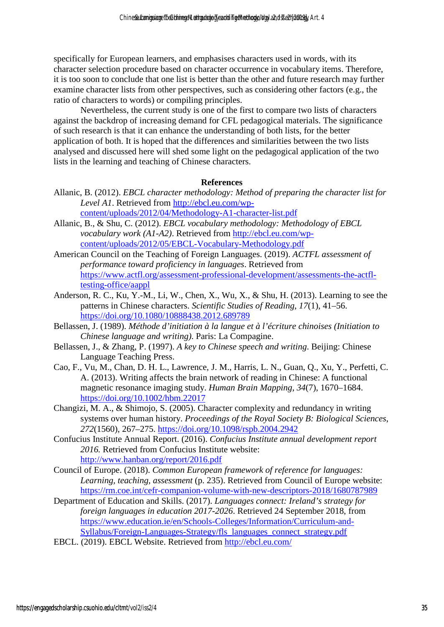specifically for European learners, and emphasises characters used in words, with its character selection procedure based on character occurrence in vocabulary items. Therefore, it is too soon to conclude that one list is better than the other and future research may further examine character lists from other perspectives, such as considering other factors (e.g., the ratio of characters to words) or compiling principles.

Nevertheless, the current study is one of the first to compare two lists of characters against the backdrop of increasing demand for CFL pedagogical materials. The significance of such research is that it can enhance the understanding of both lists, for the better application of both. It is hoped that the differences and similarities between the two lists analysed and discussed here will shed some light on the pedagogical application of the two lists in the learning and teaching of Chinese characters.

### **References**

- Allanic, B. (2012). *EBCL character methodology: Method of preparing the character list for Level A1*. Retrieved from http://ebcl.eu.com/wpcontent/uploads/2012/04/Methodology-A1-character-list.pdf
- Allanic, B., & Shu, C. (2012). *EBCL vocabulary methodology: Methodology of EBCL vocabulary work (A1-A2)*. Retrieved from http://ebcl.eu.com/wpcontent/uploads/2012/05/EBCL-Vocabulary-Methodology.pdf
- American Council on the Teaching of Foreign Languages. (2019). *ACTFL assessment of performance toward proficiency in languages*. Retrieved from https://www.actfl.org/assessment-professional-development/assessments-the-actfltesting-office/aappl
- Anderson, R. C., Ku, Y.-M., Li, W., Chen, X., Wu, X., & Shu, H. (2013). Learning to see the patterns in Chinese characters. *Scientific Studies of Reading*, *17*(1), 41–56. https://doi.org/10.1080/10888438.2012.689789
- Bellassen, J. (1989). *Méthode d'initiation à la langue et à l'écriture chinoises (Initiation to Chinese language and writing)*. Paris: La Compagine.
- Bellassen, J., & Zhang, P. (1997). *A key to Chinese speech and writing*. Beijing: Chinese Language Teaching Press.
- Cao, F., Vu, M., Chan, D. H. L., Lawrence, J. M., Harris, L. N., Guan, Q., Xu, Y., Perfetti, C. A. (2013). Writing affects the brain network of reading in Chinese: A functional magnetic resonance imaging study. *Human Brain Mapping*, *34*(7), 1670–1684. https://doi.org/10.1002/hbm.22017
- Changizi, M. A., & Shimojo, S. (2005). Character complexity and redundancy in writing systems over human history. *Proceedings of the Royal Society B: Biological Sciences*, *272*(1560), 267–275. https://doi.org/10.1098/rspb.2004.2942
- Confucius Institute Annual Report. (2016). *Confucius Institute annual development report 2016.* Retrieved from Confucius Institute website: http://www.hanban.org/report/2016.pdf
- Council of Europe. (2018). *Common European framework of reference for languages: Learning, teaching, assessment* (p. 235). Retrieved from Council of Europe website: https://rm.coe.int/cefr-companion-volume-with-new-descriptors-2018/1680787989
- Department of Education and Skills. (2017). *Languages connect: Ireland's strategy for foreign languages in education 2017-2026*. Retrieved 24 September 2018, from https://www.education.ie/en/Schools-Colleges/Information/Curriculum-and-Syllabus/Foreign-Languages-Strategy/fls\_languages\_connect\_strategy.pdf
- EBCL. (2019). EBCL Website. Retrieved from http://ebcl.eu.com/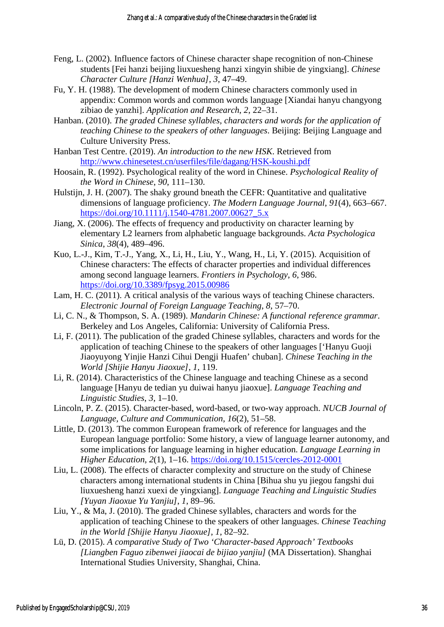- Feng, L. (2002). Influence factors of Chinese character shape recognition of non-Chinese students [Fei hanzi beijing liuxuesheng hanzi xingyin shibie de yingxiang]. *Chinese Character Culture [Hanzi Wenhua]*, *3*, 47–49.
- Fu, Y. H. (1988). The development of modern Chinese characters commonly used in appendix: Common words and common words language [Xiandai hanyu changyong zibiao de yanzhi]. *Application and Research*, *2*, 22–31.
- Hanban. (2010). *The graded Chinese syllables, characters and words for the application of teaching Chinese to the speakers of other languages*. Beijing: Beijing Language and Culture University Press.
- Hanban Test Centre. (2019). *An introduction to the new HSK*. Retrieved from http://www.chinesetest.cn/userfiles/file/dagang/HSK-koushi.pdf
- Hoosain, R. (1992). Psychological reality of the word in Chinese. *Psychological Reality of the Word in Chinese*, *90*, 111–130.
- Hulstijn, J. H. (2007). The shaky ground bneath the CEFR: Quantitative and qualitative dimensions of language proficiency. *The Modern Language Journal*, *91*(4), 663–667. https://doi.org/10.1111/j.1540-4781.2007.00627\_5.x
- Jiang, X. (2006). The effects of frequency and productivity on character learning by elementary L2 learners from alphabetic language backgrounds. *Acta Psychologica Sinica*, *38*(4), 489–496.
- Kuo, L.-J., Kim, T.-J., Yang, X., Li, H., Liu, Y., Wang, H., Li, Y. (2015). Acquisition of Chinese characters: The effects of character properties and individual differences among second language learners. *Frontiers in Psychology*, *6*, 986. https://doi.org/10.3389/fpsyg.2015.00986
- Lam, H. C. (2011). A critical analysis of the various ways of teaching Chinese characters. *Electronic Journal of Foreign Language Teaching*, *8*, 57–70.
- Li, C. N., & Thompson, S. A. (1989). *Mandarin Chinese: A functional reference grammar*. Berkeley and Los Angeles, California: University of California Press.
- Li, F. (2011). The publication of the graded Chinese syllables, characters and words for the application of teaching Chinese to the speakers of other languages ['Hanyu Guoji Jiaoyuyong Yinjie Hanzi Cihui Dengji Huafen' chuban]. *Chinese Teaching in the World [Shijie Hanyu Jiaoxue]*, *1*, 119.
- Li, R. (2014). Characteristics of the Chinese language and teaching Chinese as a second language [Hanyu de tedian yu duiwai hanyu jiaoxue]. *Language Teaching and Linguistic Studies*, *3*, 1–10.
- Lincoln, P. Z. (2015). Character-based, word-based, or two-way approach. *NUCB Journal of Language, Culture and Communication*, *16*(2), 51–58.
- Little, D. (2013). The common European framework of reference for languages and the European language portfolio: Some history, a view of language learner autonomy, and some implications for language learning in higher education. *Language Learning in Higher Education*, *2*(1), 1–16. https://doi.org/10.1515/cercles-2012-0001
- Liu, L. (2008). The effects of character complexity and structure on the study of Chinese characters among international students in China [Bihua shu yu jiegou fangshi dui liuxuesheng hanzi xuexi de yingxiang]. *Language Teaching and Linguistic Studies [Yuyan Jiaoxue Yu Yanjiu]*, *1*, 89–96.
- Liu, Y., & Ma, J. (2010). The graded Chinese syllables, characters and words for the application of teaching Chinese to the speakers of other languages. *Chinese Teaching in the World [Shijie Hanyu Jiaoxue]*, *1*, 82–92.
- Lü, D. (2015). *A comparative Study of Two 'Character-based Approach' Textbooks [Liangben Faguo zibenwei jiaocai de bijiao yanjiu]* (MA Dissertation). Shanghai International Studies University, Shanghai, China.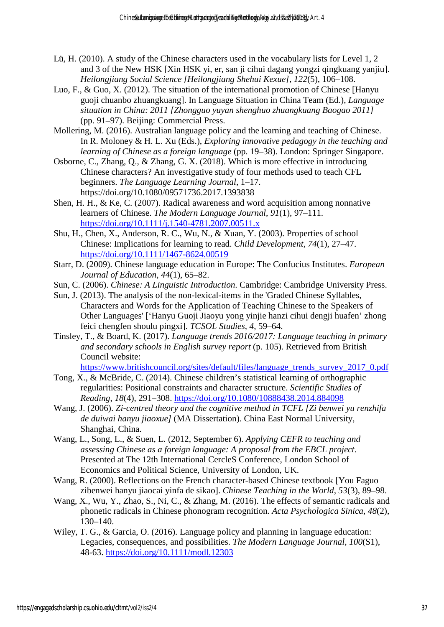- Lü, H. (2010). A study of the Chinese characters used in the vocabulary lists for Level 1, 2 and 3 of the New HSK [Xin HSK yi, er, san ji cihui dagang yongzi qingkuang yanjiu]. *Heilongjiang Social Science [Heilongjiang Shehui Kexue]*, *122*(5), 106–108.
- Luo, F., & Guo, X. (2012). The situation of the international promotion of Chinese [Hanyu guoji chuanbo zhuangkuang]. In Language Situation in China Team (Ed.), *Language situation in China: 2011 [Zhongguo yuyan shenghuo zhuangkuang Baogao 2011]* (pp. 91–97). Beijing: Commercial Press.
- Mollering, M. (2016). Australian language policy and the learning and teaching of Chinese. In R. Moloney & H. L. Xu (Eds.), *Exploring innovative pedagogy in the teaching and learning of Chinese as a foreign language* (pp. 19–38). London: Springer Singapore.
- Osborne, C., Zhang, Q., & Zhang, G. X. (2018). Which is more effective in introducing Chinese characters? An investigative study of four methods used to teach CFL beginners. *The Language Learning Journal*, 1–17. https://doi.org/10.1080/09571736.2017.1393838
- Shen, H. H., & Ke, C. (2007). Radical awareness and word acquisition among nonnative learners of Chinese. *The Modern Language Journal*, *91*(1), 97–111. https://doi.org/10.1111/j.1540-4781.2007.00511.x
- Shu, H., Chen, X., Anderson, R. C., Wu, N., & Xuan, Y. (2003). Properties of school Chinese: Implications for learning to read. *Child Development*, *74*(1), 27–47. https://doi.org/10.1111/1467-8624.00519
- Starr, D. (2009). Chinese language education in Europe: The Confucius Institutes. *European Journal of Education*, *44*(1), 65–82.
- Sun, C. (2006). *Chinese: A Linguistic Introduction*. Cambridge: Cambridge University Press.
- Sun, J. (2013). The analysis of the non-lexical-items in the 'Graded Chinese Syllables, Characters and Words for the Application of Teaching Chinese to the Speakers of Other Languages' ['Hanyu Guoji Jiaoyu yong yinjie hanzi cihui dengji huafen' zhong feici chengfen shoulu pingxi]. *TCSOL Studies*, *4*, 59–64.
- Tinsley, T., & Board, K. (2017). *Language trends 2016/2017: Language teaching in primary and secondary schools in English survey report* (p. 105). Retrieved from British Council website:
	- https://www.britishcouncil.org/sites/default/files/language\_trends\_survey\_2017\_0.pdf
- Tong, X., & McBride, C. (2014). Chinese children's statistical learning of orthographic regularities: Positional constraints and character structure. *Scientific Studies of Reading*, *18*(4), 291–308. https://doi.org/10.1080/10888438.2014.884098
- Wang, J. (2006). *Zi-centred theory and the cognitive method in TCFL [Zi benwei yu renzhifa de duiwai hanyu jiaoxue]* (MA Dissertation). China East Normal University, Shanghai, China.
- Wang, L., Song, L., & Suen, L. (2012, September 6). *Applying CEFR to teaching and assessing Chinese as a foreign language: A proposal from the EBCL project*. Presented at The 12th International CercleS Conference, London School of Economics and Political Science, University of London, UK.
- Wang, R. (2000). Reflections on the French character-based Chinese textbook [You Faguo zibenwei hanyu jiaocai yinfa de sikao]. *Chinese Teaching in the World*, *53*(3), 89–98.
- Wang, X., Wu, Y., Zhao, S., Ni, C., & Zhang, M. (2016). The effects of semantic radicals and phonetic radicals in Chinese phonogram recognition. *Acta Psychologica Sinica*, *48*(2), 130–140.
- Wiley, T. G., & Garcia, O. (2016). Language policy and planning in language education: Legacies, consequences, and possibilities. *The Modern Language Journal, 100*(S1), 48-63.<https://doi.org/10.1111/modl.12303>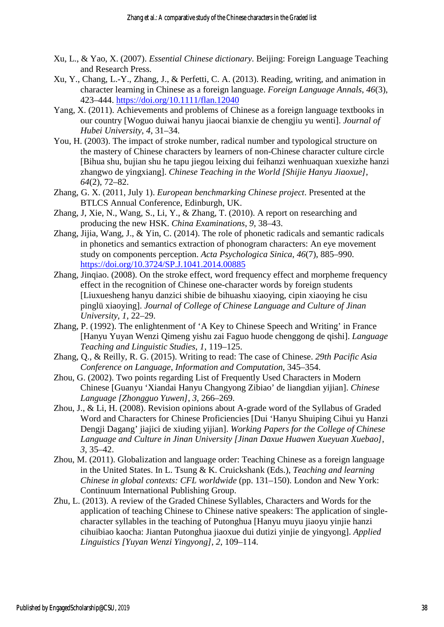- Xu, L., & Yao, X. (2007). *Essential Chinese dictionary*. Beijing: Foreign Language Teaching and Research Press.
- Xu, Y., Chang, L.-Y., Zhang, J., & Perfetti, C. A. (2013). Reading, writing, and animation in character learning in Chinese as a foreign language. *Foreign Language Annals*, *46*(3), 423–444. https://doi.org/10.1111/flan.12040
- Yang, X. (2011). Achievements and problems of Chinese as a foreign language textbooks in our country [Woguo duiwai hanyu jiaocai bianxie de chengjiu yu wenti]. *Journal of Hubei University*, *4*, 31–34.
- You, H. (2003). The impact of stroke number, radical number and typological structure on the mastery of Chinese characters by learners of non-Chinese character culture circle [Bihua shu, bujian shu he tapu jiegou leixing dui feihanzi wenhuaquan xuexizhe hanzi zhangwo de yingxiang]. *Chinese Teaching in the World [Shijie Hanyu Jiaoxue]*, *64*(2), 72–82.
- Zhang, G. X. (2011, July 1). *European benchmarking Chinese project*. Presented at the BTLCS Annual Conference, Edinburgh, UK.
- Zhang, J, Xie, N., Wang, S., Li, Y., & Zhang, T. (2010). A report on researching and producing the new HSK. *China Examinations*, *9*, 38–43.
- Zhang, Jijia, Wang, J., & Yin, C. (2014). The role of phonetic radicals and semantic radicals in phonetics and semantics extraction of phonogram characters: An eye movement study on components perception. *Acta Psychologica Sinica*, *46*(7), 885–990. https://doi.org/10.3724/SP.J.1041.2014.00885
- Zhang, Jinqiao. (2008). On the stroke effect, word frequency effect and morpheme frequency effect in the recognition of Chinese one-character words by foreign students [Liuxuesheng hanyu danzici shibie de bihuashu xiaoying, cipin xiaoying he cisu pinglü xiaoying]. *Journal of College of Chinese Language and Culture of Jinan University*, *1*, 22–29.
- Zhang, P. (1992). The enlightenment of 'A Key to Chinese Speech and Writing' in France [Hanyu Yuyan Wenzi Qimeng yishu zai Faguo huode chenggong de qishi]. *Language Teaching and Linguistic Studies*, *1*, 119–125.
- Zhang, Q., & Reilly, R. G. (2015). Writing to read: The case of Chinese. *29th Pacific Asia Conference on Language, Information and Computation*, 345–354.
- Zhou, G. (2002). Two points regarding List of Frequently Used Characters in Modern Chinese [Guanyu 'Xiandai Hanyu Changyong Zibiao' de liangdian yijian]. *Chinese Language [Zhongguo Yuwen]*, *3*, 266–269.
- Zhou, J., & Li, H. (2008). Revision opinions about A-grade word of the Syllabus of Graded Word and Characters for Chinese Proficiencies [Dui 'Hanyu Shuiping Cihui yu Hanzi Dengji Dagang' jiajici de xiuding yijian]. *Working Papers for the College of Chinese Language and Culture in Jinan University [Jinan Daxue Huawen Xueyuan Xuebao]*, *3*, 35–42.
- Zhou, M. (2011). Globalization and language order: Teaching Chinese as a foreign language in the United States. In L. Tsung & K. Cruickshank (Eds.), *Teaching and learning Chinese in global contexts: CFL worldwide* (pp. 131–150). London and New York: Continuum International Publishing Group.
- Zhu, L. (2013). A review of the Graded Chinese Syllables, Characters and Words for the application of teaching Chinese to Chinese native speakers: The application of singlecharacter syllables in the teaching of Putonghua [Hanyu muyu jiaoyu yinjie hanzi cihuibiao kaocha: Jiantan Putonghua jiaoxue dui dutizi yinjie de yingyong]. *Applied Linguistics [Yuyan Wenzi Yingyong]*, *2*, 109–114.